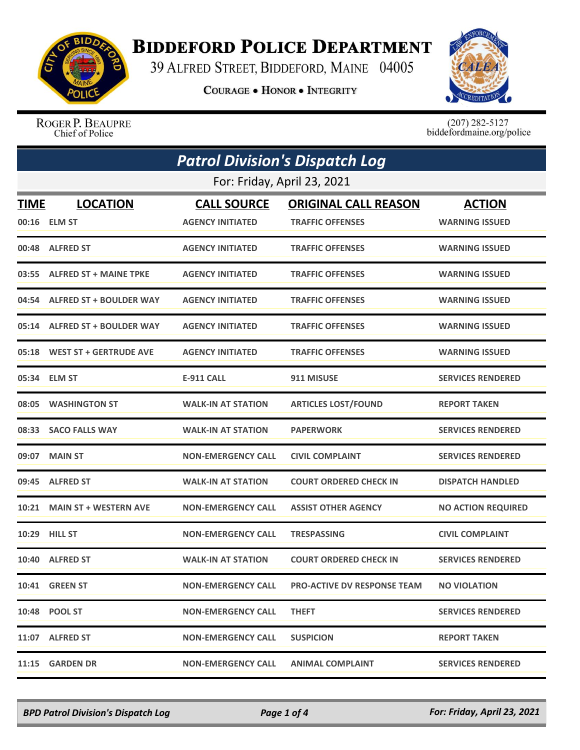

## **BIDDEFORD POLICE DEPARTMENT**

39 ALFRED STREET, BIDDEFORD, MAINE 04005

**COURAGE . HONOR . INTEGRITY** 



ROGER P. BEAUPRE Chief of Police

 $(207)$  282-5127<br>biddefordmaine.org/police

|             | <b>Patrol Division's Dispatch Log</b> |                           |                                    |                           |  |  |
|-------------|---------------------------------------|---------------------------|------------------------------------|---------------------------|--|--|
|             | For: Friday, April 23, 2021           |                           |                                    |                           |  |  |
| <b>TIME</b> | <b>LOCATION</b>                       | <b>CALL SOURCE</b>        | <b>ORIGINAL CALL REASON</b>        | <b>ACTION</b>             |  |  |
|             | 00:16 ELM ST                          | <b>AGENCY INITIATED</b>   | <b>TRAFFIC OFFENSES</b>            | <b>WARNING ISSUED</b>     |  |  |
|             | 00:48 ALFRED ST                       | <b>AGENCY INITIATED</b>   | <b>TRAFFIC OFFENSES</b>            | <b>WARNING ISSUED</b>     |  |  |
|             | 03:55 ALFRED ST + MAINE TPKE          | <b>AGENCY INITIATED</b>   | <b>TRAFFIC OFFENSES</b>            | <b>WARNING ISSUED</b>     |  |  |
|             | 04:54 ALFRED ST + BOULDER WAY         | <b>AGENCY INITIATED</b>   | <b>TRAFFIC OFFENSES</b>            | <b>WARNING ISSUED</b>     |  |  |
|             | 05:14 ALFRED ST + BOULDER WAY         | <b>AGENCY INITIATED</b>   | <b>TRAFFIC OFFENSES</b>            | <b>WARNING ISSUED</b>     |  |  |
|             | 05:18 WEST ST + GERTRUDE AVE          | <b>AGENCY INITIATED</b>   | <b>TRAFFIC OFFENSES</b>            | <b>WARNING ISSUED</b>     |  |  |
| 05:34       | <b>ELM ST</b>                         | <b>E-911 CALL</b>         | 911 MISUSE                         | <b>SERVICES RENDERED</b>  |  |  |
| 08:05       | <b>WASHINGTON ST</b>                  | <b>WALK-IN AT STATION</b> | <b>ARTICLES LOST/FOUND</b>         | <b>REPORT TAKEN</b>       |  |  |
|             | 08:33 SACO FALLS WAY                  | <b>WALK-IN AT STATION</b> | <b>PAPERWORK</b>                   | <b>SERVICES RENDERED</b>  |  |  |
| 09:07       | <b>MAIN ST</b>                        | <b>NON-EMERGENCY CALL</b> | <b>CIVIL COMPLAINT</b>             | <b>SERVICES RENDERED</b>  |  |  |
|             | 09:45 ALFRED ST                       | <b>WALK-IN AT STATION</b> | <b>COURT ORDERED CHECK IN</b>      | <b>DISPATCH HANDLED</b>   |  |  |
| 10:21       | <b>MAIN ST + WESTERN AVE</b>          | <b>NON-EMERGENCY CALL</b> | <b>ASSIST OTHER AGENCY</b>         | <b>NO ACTION REQUIRED</b> |  |  |
|             | 10:29 HILL ST                         | <b>NON-EMERGENCY CALL</b> | <b>TRESPASSING</b>                 | <b>CIVIL COMPLAINT</b>    |  |  |
| 10:40       | <b>ALFRED ST</b>                      | <b>WALK-IN AT STATION</b> | <b>COURT ORDERED CHECK IN</b>      | <b>SERVICES RENDERED</b>  |  |  |
|             | <b>10:41 GREEN ST</b>                 | <b>NON-EMERGENCY CALL</b> | <b>PRO-ACTIVE DV RESPONSE TEAM</b> | <b>NO VIOLATION</b>       |  |  |
|             | 10:48 POOL ST                         | <b>NON-EMERGENCY CALL</b> | <b>THEFT</b>                       | <b>SERVICES RENDERED</b>  |  |  |
|             | 11:07 ALFRED ST                       | <b>NON-EMERGENCY CALL</b> | <b>SUSPICION</b>                   | <b>REPORT TAKEN</b>       |  |  |
|             | 11:15 GARDEN DR                       | <b>NON-EMERGENCY CALL</b> | <b>ANIMAL COMPLAINT</b>            | <b>SERVICES RENDERED</b>  |  |  |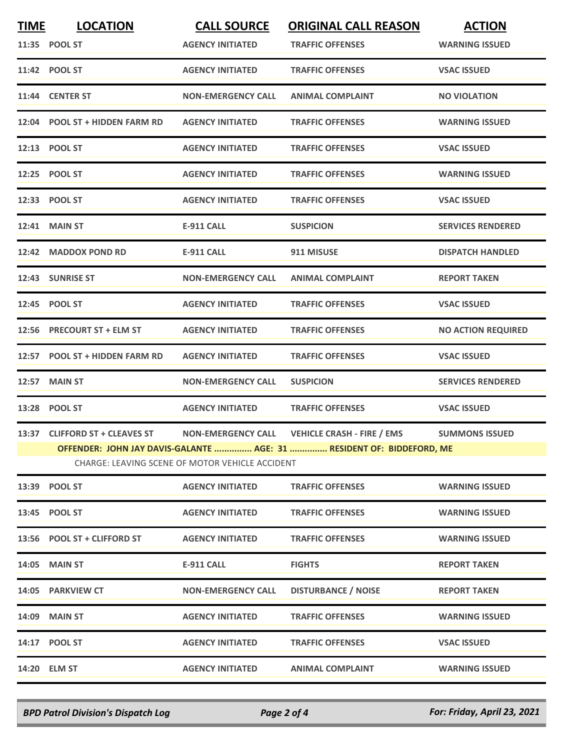| <b>TIME</b> | <b>LOCATION</b>                | <b>CALL SOURCE</b>                              | <b>ORIGINAL CALL REASON</b>                                           | <b>ACTION</b>             |
|-------------|--------------------------------|-------------------------------------------------|-----------------------------------------------------------------------|---------------------------|
|             | 11:35 POOL ST                  | <b>AGENCY INITIATED</b>                         | <b>TRAFFIC OFFENSES</b>                                               | <b>WARNING ISSUED</b>     |
|             | 11:42 POOL ST                  | <b>AGENCY INITIATED</b>                         | <b>TRAFFIC OFFENSES</b>                                               | <b>VSAC ISSUED</b>        |
|             | 11:44 CENTER ST                | <b>NON-EMERGENCY CALL</b>                       | <b>ANIMAL COMPLAINT</b>                                               | <b>NO VIOLATION</b>       |
|             | 12:04 POOL ST + HIDDEN FARM RD | <b>AGENCY INITIATED</b>                         | <b>TRAFFIC OFFENSES</b>                                               | <b>WARNING ISSUED</b>     |
|             | 12:13 POOL ST                  | <b>AGENCY INITIATED</b>                         | <b>TRAFFIC OFFENSES</b>                                               | <b>VSAC ISSUED</b>        |
|             | 12:25 POOL ST                  | <b>AGENCY INITIATED</b>                         | <b>TRAFFIC OFFENSES</b>                                               | <b>WARNING ISSUED</b>     |
|             | 12:33 POOL ST                  | <b>AGENCY INITIATED</b>                         | <b>TRAFFIC OFFENSES</b>                                               | <b>VSAC ISSUED</b>        |
|             | 12:41 MAIN ST                  | <b>E-911 CALL</b>                               | <b>SUSPICION</b>                                                      | <b>SERVICES RENDERED</b>  |
|             | 12:42 MADDOX POND RD           | <b>E-911 CALL</b>                               | 911 MISUSE                                                            | <b>DISPATCH HANDLED</b>   |
|             | 12:43 SUNRISE ST               | <b>NON-EMERGENCY CALL</b>                       | <b>ANIMAL COMPLAINT</b>                                               | <b>REPORT TAKEN</b>       |
|             | 12:45 POOL ST                  | <b>AGENCY INITIATED</b>                         | <b>TRAFFIC OFFENSES</b>                                               | <b>VSAC ISSUED</b>        |
|             | 12:56 PRECOURT ST + ELM ST     | <b>AGENCY INITIATED</b>                         | <b>TRAFFIC OFFENSES</b>                                               | <b>NO ACTION REQUIRED</b> |
|             | 12:57 POOL ST + HIDDEN FARM RD | <b>AGENCY INITIATED</b>                         | <b>TRAFFIC OFFENSES</b>                                               | <b>VSAC ISSUED</b>        |
| 12:57       | <b>MAIN ST</b>                 | <b>NON-EMERGENCY CALL</b>                       | <b>SUSPICION</b>                                                      | <b>SERVICES RENDERED</b>  |
|             | 13:28 POOL ST                  | <b>AGENCY INITIATED</b>                         | <b>TRAFFIC OFFENSES</b>                                               | <b>VSAC ISSUED</b>        |
|             | 13:37 CLIFFORD ST + CLEAVES ST | <b>NON-EMERGENCY CALL</b>                       | <b>VEHICLE CRASH - FIRE / EMS</b>                                     | <b>SUMMONS ISSUED</b>     |
|             |                                | CHARGE: LEAVING SCENE OF MOTOR VEHICLE ACCIDENT | OFFENDER: JOHN JAY DAVIS-GALANTE  AGE: 31  RESIDENT OF: BIDDEFORD, ME |                           |
|             | 13:39 POOL ST                  | <b>AGENCY INITIATED</b>                         | <b>TRAFFIC OFFENSES</b>                                               | <b>WARNING ISSUED</b>     |
|             | 13:45 POOL ST                  | <b>AGENCY INITIATED</b>                         | <b>TRAFFIC OFFENSES</b>                                               | <b>WARNING ISSUED</b>     |
|             | 13:56 POOL ST + CLIFFORD ST    | <b>AGENCY INITIATED</b>                         | <b>TRAFFIC OFFENSES</b>                                               | <b>WARNING ISSUED</b>     |
|             | <b>14:05 MAIN ST</b>           | <b>E-911 CALL</b>                               | <b>FIGHTS</b>                                                         | <b>REPORT TAKEN</b>       |
|             | 14:05 PARKVIEW CT              | <b>NON-EMERGENCY CALL</b>                       | <b>DISTURBANCE / NOISE</b>                                            | <b>REPORT TAKEN</b>       |
|             | 14:09 MAIN ST                  | <b>AGENCY INITIATED</b>                         | <b>TRAFFIC OFFENSES</b>                                               | <b>WARNING ISSUED</b>     |
|             | 14:17 POOL ST                  | <b>AGENCY INITIATED</b>                         | <b>TRAFFIC OFFENSES</b>                                               | <b>VSAC ISSUED</b>        |
|             | 14:20 ELM ST                   | <b>AGENCY INITIATED</b>                         | <b>ANIMAL COMPLAINT</b>                                               | <b>WARNING ISSUED</b>     |
|             |                                |                                                 |                                                                       |                           |

*BPD Patrol Division's Dispatch Log Page 2 of 4 For: Friday, April 23, 2021*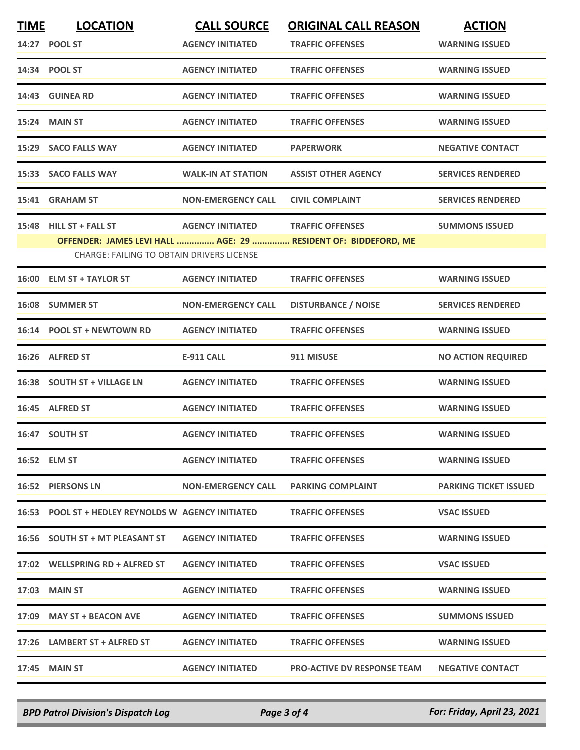| <b>TIME</b> | <b>LOCATION</b>                                    | <b>CALL SOURCE</b>                | <b>ORIGINAL CALL REASON</b>                                    | <b>ACTION</b>                |
|-------------|----------------------------------------------------|-----------------------------------|----------------------------------------------------------------|------------------------------|
|             | 14:27 POOL ST                                      | <b>AGENCY INITIATED</b>           | <b>TRAFFIC OFFENSES</b>                                        | <b>WARNING ISSUED</b>        |
|             | 14:34 POOL ST                                      | <b>AGENCY INITIATED</b>           | <b>TRAFFIC OFFENSES</b>                                        | <b>WARNING ISSUED</b>        |
|             | 14:43 GUINEA RD                                    | <b>AGENCY INITIATED</b>           | <b>TRAFFIC OFFENSES</b>                                        | <b>WARNING ISSUED</b>        |
|             | <b>15:24 MAIN ST</b>                               | <b>AGENCY INITIATED</b>           | <b>TRAFFIC OFFENSES</b>                                        | <b>WARNING ISSUED</b>        |
|             | 15:29 SACO FALLS WAY                               | <b>AGENCY INITIATED</b>           | <b>PAPERWORK</b>                                               | <b>NEGATIVE CONTACT</b>      |
|             | 15:33 SACO FALLS WAY                               | <b>WALK-IN AT STATION</b>         | <b>ASSIST OTHER AGENCY</b>                                     | <b>SERVICES RENDERED</b>     |
|             | 15:41 GRAHAM ST                                    | <b>NON-EMERGENCY CALL</b>         | <b>CIVIL COMPLAINT</b>                                         | <b>SERVICES RENDERED</b>     |
|             | 15:48 HILL ST + FALL ST                            | AGENCY INITIATED TRAFFIC OFFENSES |                                                                | <b>SUMMONS ISSUED</b>        |
|             |                                                    |                                   | OFFENDER: JAMES LEVI HALL  AGE: 29  RESIDENT OF: BIDDEFORD, ME |                              |
|             | <b>CHARGE: FAILING TO OBTAIN DRIVERS LICENSE</b>   |                                   |                                                                |                              |
|             | 16:00 ELM ST + TAYLOR ST                           | <b>AGENCY INITIATED</b>           | <b>TRAFFIC OFFENSES</b>                                        | <b>WARNING ISSUED</b>        |
|             | 16:08 SUMMER ST                                    | <b>NON-EMERGENCY CALL</b>         | <b>DISTURBANCE / NOISE</b>                                     | <b>SERVICES RENDERED</b>     |
|             | 16:14 POOL ST + NEWTOWN RD                         | <b>AGENCY INITIATED</b>           | <b>TRAFFIC OFFENSES</b>                                        | <b>WARNING ISSUED</b>        |
|             | 16:26 ALFRED ST                                    | <b>E-911 CALL</b>                 | 911 MISUSE                                                     | <b>NO ACTION REQUIRED</b>    |
|             | 16:38 SOUTH ST + VILLAGE LN                        | <b>AGENCY INITIATED</b>           | <b>TRAFFIC OFFENSES</b>                                        | <b>WARNING ISSUED</b>        |
|             | 16:45 ALFRED ST                                    | <b>AGENCY INITIATED</b>           | <b>TRAFFIC OFFENSES</b>                                        | <b>WARNING ISSUED</b>        |
|             | 16:47 SOUTH ST                                     | <b>AGENCY INITIATED</b>           | <b>TRAFFIC OFFENSES</b>                                        | <b>WARNING ISSUED</b>        |
|             | 16:52 ELM ST                                       | <b>AGENCY INITIATED</b>           | <b>TRAFFIC OFFENSES</b>                                        | <b>WARNING ISSUED</b>        |
|             | 16:52 PIERSONS LN                                  | <b>NON-EMERGENCY CALL</b>         | <b>PARKING COMPLAINT</b>                                       | <b>PARKING TICKET ISSUED</b> |
|             | 16:53 POOL ST + HEDLEY REYNOLDS W AGENCY INITIATED |                                   | <b>TRAFFIC OFFENSES</b>                                        | <b>VSAC ISSUED</b>           |
|             | 16:56 SOUTH ST + MT PLEASANT ST                    | <b>AGENCY INITIATED</b>           | <b>TRAFFIC OFFENSES</b>                                        | <b>WARNING ISSUED</b>        |
|             | 17:02 WELLSPRING RD + ALFRED ST                    | <b>AGENCY INITIATED</b>           | <b>TRAFFIC OFFENSES</b>                                        | <b>VSAC ISSUED</b>           |
|             | 17:03 MAIN ST                                      | <b>AGENCY INITIATED</b>           | <b>TRAFFIC OFFENSES</b>                                        | <b>WARNING ISSUED</b>        |
|             | 17:09 MAY ST + BEACON AVE                          | <b>AGENCY INITIATED</b>           | <b>TRAFFIC OFFENSES</b>                                        | <b>SUMMONS ISSUED</b>        |
|             | 17:26 LAMBERT ST + ALFRED ST                       | <b>AGENCY INITIATED</b>           | <b>TRAFFIC OFFENSES</b>                                        | <b>WARNING ISSUED</b>        |
|             | 17:45 MAIN ST                                      | <b>AGENCY INITIATED</b>           | <b>PRO-ACTIVE DV RESPONSE TEAM</b>                             | <b>NEGATIVE CONTACT</b>      |
|             |                                                    |                                   |                                                                |                              |

*BPD Patrol Division's Dispatch Log Page 3 of 4 For: Friday, April 23, 2021*